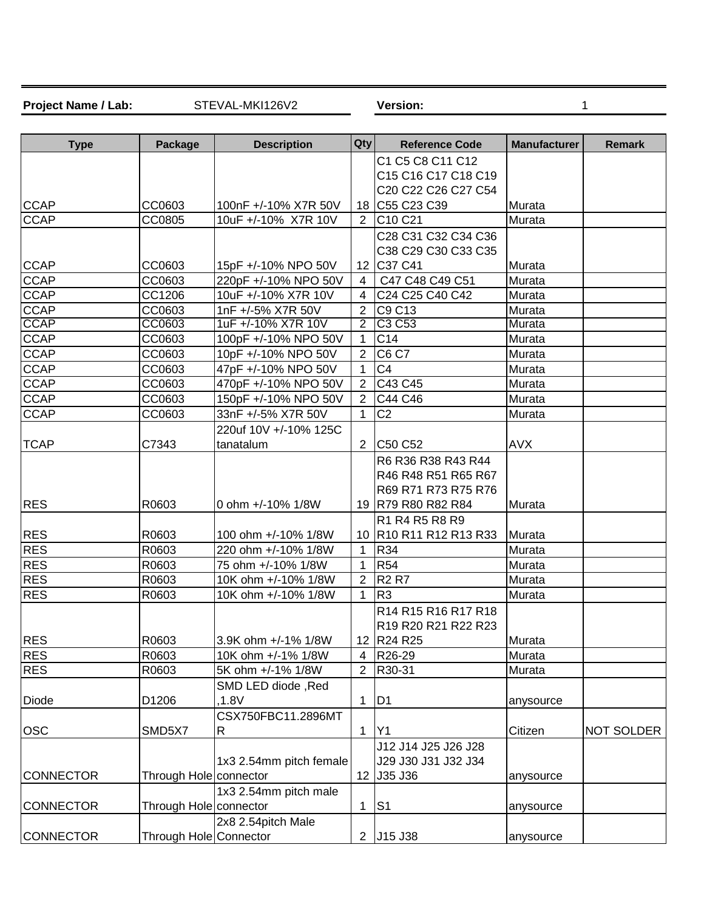Project Name / Lab: STEVAL-MKI126V2 Version:

STEVAL-MKI126V2 Version: 1

| <b>Type</b>      | <b>Package</b>         | <b>Description</b>          | <b>Qty</b>            | <b>Reference Code</b>           | <b>Manufacturer</b> | <b>Remark</b> |
|------------------|------------------------|-----------------------------|-----------------------|---------------------------------|---------------------|---------------|
|                  |                        |                             |                       | C1 C5 C8 C11 C12                |                     |               |
|                  |                        |                             |                       | C15 C16 C17 C18 C19             |                     |               |
|                  |                        |                             |                       | C20 C22 C26 C27 C54             |                     |               |
| <b>CCAP</b>      | CC0603                 | 100nF +/-10% X7R 50V        |                       | 18 C55 C23 C39                  | Murata              |               |
| <b>CCAP</b>      | CC0805                 | 10uF +/-10% X7R 10V         | 2                     | C <sub>10</sub> C <sub>21</sub> | Murata              |               |
|                  |                        |                             |                       | C28 C31 C32 C34 C36             |                     |               |
|                  |                        |                             |                       | C38 C29 C30 C33 C35             |                     |               |
| <b>CCAP</b>      | CC0603                 | 15pF +/-10% NPO 50V         |                       | 12 C37 C41                      | Murata              |               |
| <b>CCAP</b>      | CC0603                 | 220pF +/-10% NPO 50V        | 4                     | C47 C48 C49 C51                 | Murata              |               |
| <b>CCAP</b>      | CC1206                 | 10uF +/-10% X7R 10V         | 4                     | C24 C25 C40 C42                 | Murata              |               |
| <b>CCAP</b>      | CC0603                 | 1nF +/-5% X7R 50V           | $\overline{2}$        | C9 C13                          | Murata              |               |
| <b>CCAP</b>      | CC0603                 | 1uF +/-10% X7R 10V          | $\overline{2}$        | C3 C53                          | Murata              |               |
| <b>CCAP</b>      | CC0603                 | 100pF +/-10% NPO 50V        | 1                     | C14                             | Murata              |               |
| CCAP             | CC0603                 | 10pF +/-10% NPO 50V         | $\overline{2}$        | <b>C6 C7</b>                    | Murata              |               |
| <b>CCAP</b>      | CC0603                 | 47pF +/-10% NPO 50V         | $\mathbf 1$           | C <sub>4</sub>                  | Murata              |               |
| <b>CCAP</b>      | CC0603                 | 470pF +/-10% NPO 50V        | $\overline{2}$        | C43 C45                         | Murata              |               |
| <b>CCAP</b>      | CC0603                 | 150pF +/-10% NPO 50V        | $\overline{2}$        | C44 C46                         | Murata              |               |
| <b>CCAP</b>      | CC0603                 | 33nF +/-5% X7R 50V          | 1                     | C <sub>2</sub>                  | Murata              |               |
|                  |                        | 220uf 10V +/-10% 125C       |                       |                                 |                     |               |
| <b>TCAP</b>      | C7343                  | tanatalum                   | $\mathbf{2}^{\prime}$ | C50 C52                         | <b>AVX</b>          |               |
|                  |                        |                             |                       | R6 R36 R38 R43 R44              |                     |               |
|                  |                        |                             |                       | R46 R48 R51 R65 R67             |                     |               |
|                  |                        |                             |                       | R69 R71 R73 R75 R76             |                     |               |
| <b>RES</b>       | R0603                  | 0 ohm +/-10% 1/8W           |                       | 19 R79 R80 R82 R84              | Murata              |               |
|                  |                        |                             |                       | R1 R4 R5 R8 R9                  |                     |               |
| <b>RES</b>       | R0603                  | 100 ohm +/-10% 1/8W         |                       | 10 R10 R11 R12 R13 R33          | Murata              |               |
| <b>RES</b>       | R0603                  | 220 ohm +/-10% 1/8W         | 1                     | R34                             | Murata              |               |
| <b>RES</b>       | R0603                  | 75 ohm +/-10% 1/8W          | -1                    | <b>R54</b>                      | Murata              |               |
| <b>RES</b>       | R0603                  | 10K ohm +/-10% 1/8W         | 2                     | <b>R2 R7</b>                    | Murata              |               |
| <b>RES</b>       | R0603                  | 10K ohm +/-10% 1/8W         | 1                     | R <sub>3</sub>                  | Murata              |               |
|                  |                        |                             |                       | R14 R15 R16 R17 R18             |                     |               |
|                  |                        |                             |                       | R19 R20 R21 R22 R23             |                     |               |
| <b>RES</b>       | R0603                  | 3.9K ohm +/-1% 1/8W         |                       | 12 R24 R25                      | Murata              |               |
| <b>RES</b>       | R0603                  | 10K ohm +/-1% 1/8W          | 4                     | R26-29                          | Murata              |               |
| <b>RES</b>       | R0603                  | 5K ohm +/-1% 1/8W           | 2                     | R30-31                          | Murata              |               |
|                  |                        |                             |                       |                                 |                     |               |
|                  | D1206                  | SMD LED diode, Red<br>,1.8V |                       |                                 |                     |               |
| <b>Diode</b>     |                        |                             | 1                     | D <sub>1</sub>                  | anysource           |               |
|                  |                        | CSX750FBC11.2896MT          |                       |                                 |                     |               |
| <b>OSC</b>       | SMD5X7                 | R                           | $\mathbf 1$           | $\mathsf{I}$                    | Citizen             | NOT SOLDER    |
|                  |                        |                             |                       | J12 J14 J25 J26 J28             |                     |               |
|                  |                        | 1x3 2.54mm pitch female     |                       | J29 J30 J31 J32 J34             |                     |               |
| <b>CONNECTOR</b> | Through Hole connector |                             |                       | 12 J35 J36                      | anysource           |               |
|                  |                        | 1x3 2.54mm pitch male       |                       |                                 |                     |               |
| <b>CONNECTOR</b> | Through Hole connector |                             | 1                     | S <sub>1</sub>                  | anysource           |               |
|                  |                        | 2x8 2.54pitch Male          |                       |                                 |                     |               |
| <b>CONNECTOR</b> | Through Hole Connector |                             | $\mathbf{2}^{\circ}$  | J15 J38                         | anysource           |               |